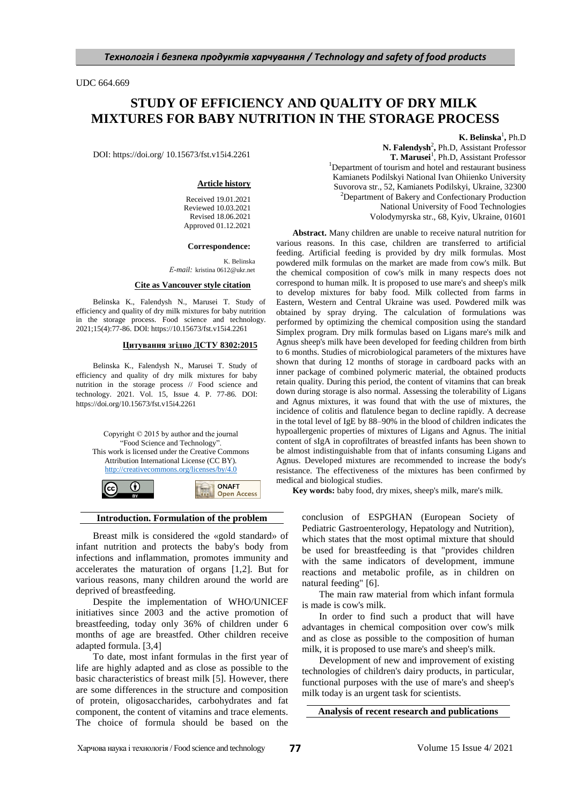UDC 664.669

# **STUDY OF EFFICIENCY AND QUALITY OF DRY MILK MIXTURES FOR BABY NUTRITION IN THE STORAGE PROCESS**

DOI: https://doi.org/ 10.15673/fst.v15i4.2261

### **Article history**

Received 19.01.2021 Reviewed 10.03.2021 Revised 18.06.2021 Approved 01.12.2021

#### **Correspondence:**

K. Belinska *Е-mail:* kristina 0612@ukr.net

### **Cite as Vancouver style citation**

Belinska K., Falendysh N., Marusei T. Study of efficiency and quality of dry milk mixtures for baby nutrition in the storage process. Food science and technology. 2021;15(4):77-86. DOI: https://10.15673/fst.v15i4.2261

#### **Цитування згідно ДСТУ 8302:2015**

Belinska K., Falendysh N., Marusei T. Study of efficiency and quality of dry milk mixtures for baby nutrition in the storage process // Food science and technology. 2021. Vol. 15, Issue 4. P. 77-86. DOI: https://doi.org/10.15673/fst.v15i4.2261

Copyright © 2015 by author and the journal "Food Science and Technology". This work is licensed under the Creative Commons Attribution International License (CC BY). <http://creativecommons.org/licenses/by/4.0>

 $\odot$ 

(cc



**Introduction. Formulation of the problem**

Breast milk is considered the «gold standard» of infant nutrition and protects the baby's body from infections and inflammation, promotes immunity and accelerates the maturation of organs [1,2]. But for various reasons, many children around the world are deprived of breastfeeding.

Despite the implementation of WHO/UNICEF initiatives since 2003 and the active promotion of breastfeeding, today only 36% of children under 6 months of age are breastfed. Other children receive adapted formula. [3,4]

To date, most infant formulas in the first year of life are highly adapted and as close as possible to the basic characteristics of breast milk [5]. However, there are some differences in the structure and composition of protein, oligosaccharides, carbohydrates and fat component, the content of vitamins and trace elements. The choice of formula should be based on the

**K.** Belinska<sup>1</sup>, Ph.D

N. Falendysh<sup>2</sup>, Ph.D, Assistant Professor **T. Marusei**<sup>1</sup>, Ph.D, Assistant Professor <sup>1</sup>Department of tourism and hotel and restaurant business Kamianets Podilskyi National Ivan Ohiienko University Suvorova str., 52, Kamianets Podilskyi, Ukraine, 32300 <sup>2</sup>Department [of Bakery and Confectionary Production](http://hkv.nuft.edu.ua/) National University of Food Technologies Volodymyrska str., 68, Kyiv, Ukraine, 01601

**Abstract.** Many children are unable to receive natural nutrition for various reasons. In this case, children are transferred to artificial feeding. Artificial feeding is provided by dry milk formulas. Most powdered milk formulas on the market are made from cow's milk. But the chemical composition of cow's milk in many respects does not correspond to human milk. It is proposed to use mare's and sheep's milk to develop mixtures for baby food. Milk collected from farms in Eastern, Western and Central Ukraine was used. Powdered milk was obtained by spray drying. The calculation of formulations was performed by optimizing the chemical composition using the standard Simplex program. Dry milk formulas based on Ligans mare's milk and Agnus sheep's milk have been developed for feeding children from birth to 6 months. Studies of microbiological parameters of the mixtures have shown that during 12 months of storage in cardboard packs with an inner package of combined polymeric material, the obtained products retain quality. During this period, the content of vitamins that can break down during storage is also normal. Assessing the tolerability of Ligans and Agnus mixtures, it was found that with the use of mixtures, the incidence of colitis and flatulence began to decline rapidly. A decrease in the total level of IgE by 88–90% in the blood of children indicates the hypoallergenic properties of mixtures of Ligans and Agnus. The initial content of sIgA in coprofiltrates of breastfed infants has been shown to be almost indistinguishable from that of infants consuming Ligans and Agnus. Developed mixtures are recommended to increase the body's resistance. The effectiveness of the mixtures has been confirmed by medical and biological studies.

**Key words:** baby food, dry mixes, sheep's milk, mare's milk.

conclusion of ESPGHAN (European Society of Pediatric Gastroenterology, Hepatology and Nutrition), which states that the most optimal mixture that should be used for breastfeeding is that "provides children with the same indicators of development, immune reactions and metabolic profile, as in children on natural feeding" [6].

The main raw material from which infant formula is made is cow's milk.

In order to find such a product that will have advantages in chemical composition over cow's milk and as close as possible to the composition of human milk, it is proposed to use mare's and sheep's milk.

Development of new and improvement of existing technologies of children's dairy products, in particular, functional purposes with the use of mare's and sheep's milk today is an urgent task for scientists.

**Analysis of recent research and publications**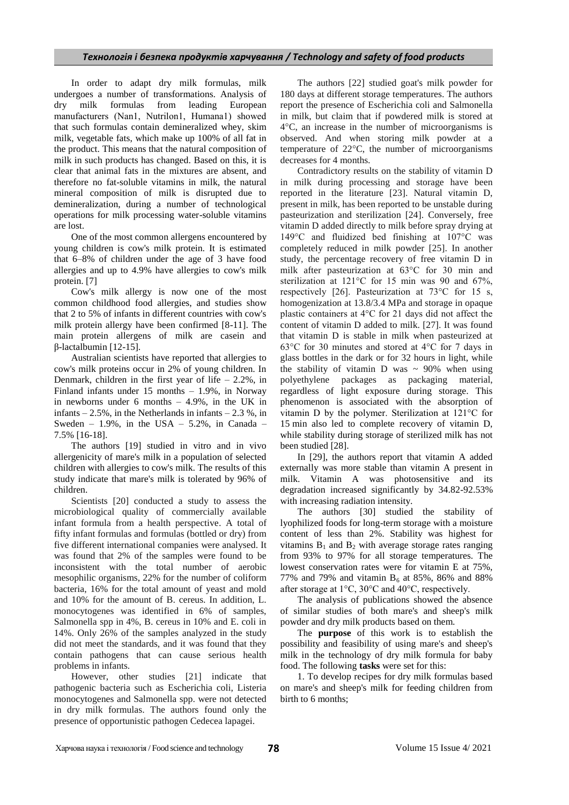In order to adapt dry milk formulas, milk undergoes a number of transformations. Analysis of dry milk formulas from leading European manufacturers (Nan1, Nutrilоn1, Humana1) showed that such formulas contain demineralized whey, skim milk, vegetable fats, which make up 100% of all fat in the product. This means that the natural composition of milk in such products has changed. Based on this, it is clear that animal fats in the mixtures are absent, and therefore no fat-soluble vitamins in milk, the natural mineral composition of milk is disrupted due to demineralization, during a number of technological operations for milk processing water-soluble vitamins are lost.

One of the most common allergens encountered by young children is cow's milk protein. It is estimated that 6–8% of children under the age of 3 have food allergies and up to 4.9% have allergies to cow's milk protein. [7]

Cow's milk allergy is now one of the most common childhood food allergies, and studies show that 2 to 5% of infants in different countries with cow's milk protein allergy have been confirmed [8-11]. The main protein allergens of milk are casein and β-lactalbumin [12-15].

Australian scientists have reported that allergies to cow's milk proteins occur in 2% of young children. In Denmark, children in the first year of life  $-2.2\%$ , in Finland infants under 15 months – 1.9%, in Norway in newborns under 6 months – 4.9%, in the UK in infants  $-2.5\%$ , in the Netherlands in infants  $-2.3\%$ , in Sweden – 1.9%, in the USA –  $5.2\%$ , in Canada – 7.5% [16-18].

The authors [19] studied in vitro and in vivo allergenicity of mare's milk in a population of selected children with allergies to cow's milk. The results of this study indicate that mare's milk is tolerated by 96% of children.

Scientists [20] conducted a study to assess the microbiological quality of commercially available infant formula from a health perspective. A total of fifty infant formulas and formulas (bottled or dry) from five different international companies were analysed. It was found that 2% of the samples were found to be inconsistent with the total number of aerobic mesophilic organisms, 22% for the number of coliform bacteria, 16% for the total amount of yeast and mold and 10% for the amount of B. cereus. In addition, L. monocytogenes was identified in 6% of samples, Salmonella spp in 4%, B. cereus in 10% and E. coli in 14%. Only 26% of the samples analyzed in the study did not meet the standards, and it was found that they contain pathogens that can cause serious health problems in infants.

However, other studies [21] indicate that pathogenic bacteria such as Escherichia coli, Listeria monocytogenes and Salmonella spp. were not detected in dry milk formulas. The authors found only the presence of opportunistic pathogen Cedecea lapagei.

The authors [22] studied goat's milk powder for 180 days at different storage temperatures. The authors report the presence of Escherichia coli and Salmonella in milk, but claim that if powdered milk is stored at 4°C, an increase in the number of microorganisms is observed. And when storing milk powder at a temperature of 22°C, the number of microorganisms decreases for 4 months.

Contradictory results on the stability of vitamin D in milk during processing and storage have been reported in the literature [23]. Natural vitamin D, present in milk, has been reported to be unstable during pasteurization and sterilization [24]. Conversely, free vitamin D added directly to milk before spray drying at 149°C and fluidized bed finishing at 107°C was completely reduced in milk powder [25]. In another study, the percentage recovery of free vitamin D in milk after pasteurization at 63°C for 30 min and sterilization at 121°C for 15 min was 90 and 67%, respectively [26]. Pasteurization at 73°C for 15 s, homogenization at 13.8/3.4 MPa and storage in opaque plastic containers at 4°C for 21 days did not affect the content of vitamin D added to milk. [27]. It was found that vitamin D is stable in milk when pasteurized at 63°C for 30 minutes and stored at 4°C for 7 days in glass bottles in the dark or for 32 hours in light, while the stability of vitamin D was  $\sim$  90% when using polyethylene packages as packaging material, regardless of light exposure during storage. This phenomenon is associated with the absorption of vitamin D by the polymer. Sterilization at 121°C for 15 min also led to complete recovery of vitamin D, while stability during storage of sterilized milk has not been studied [28].

In [29], the authors report that vitamin A added externally was more stable than vitamin A present in milk. Vitamin A was photosensitive and its degradation increased significantly by 34.82-92.53% with increasing radiation intensity.

The authors [30] studied the stability of lyophilized foods for long-term storage with a moisture content of less than 2%. Stability was highest for vitamins  $B_1$  and  $B_2$  with average storage rates ranging from 93% to 97% for all storage temperatures. The lowest conservation rates were for vitamin E at 75%, 77% and 79% and vitamin  $B_6$  at 85%, 86% and 88% after storage at 1°C, 30°C and 40°C, respectively.

The analysis of publications showed the absence of similar studies of both mare's and sheep's milk powder and dry milk products based on them.

The **purpose** of this work is to establish the possibility and feasibility of using mare's and sheep's milk in the technology of dry milk formula for baby food. The following **tasks** were set for this:

1. To develop recipes for dry milk formulas based on mare's and sheep's milk for feeding children from birth to 6 months;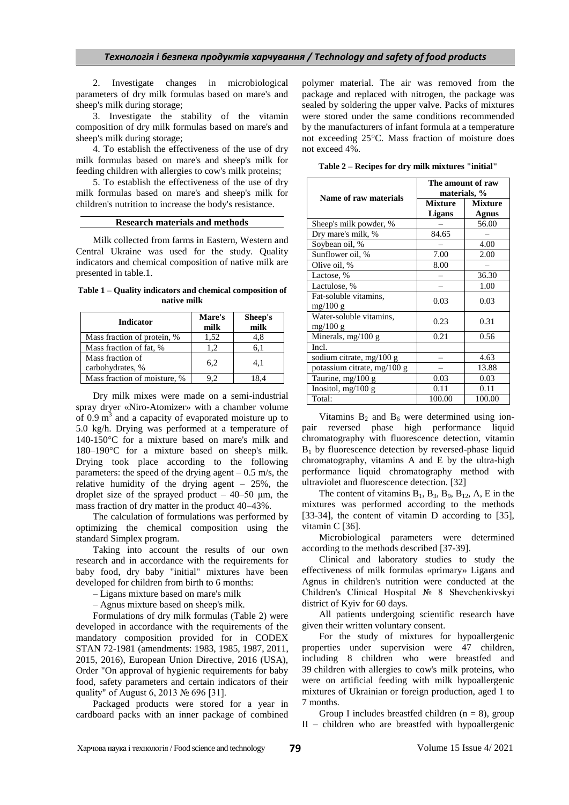2. Investigate changes in microbiological parameters of dry milk formulas based on mare's and sheep's milk during storage;

3. Investigate the stability of the vitamin composition of dry milk formulas based on mare's and sheep's milk during storage;

4. To establish the effectiveness of the use of dry milk formulas based on mare's and sheep's milk for feeding children with allergies to cow's milk proteins;

5. To establish the effectiveness of the use of dry milk formulas based on mare's and sheep's milk for children's nutrition to increase the body's resistance.

### **Research materials and methods**

Milk collected from farms in Eastern, Western and Central Ukraine was used for the study. Quality indicators and chemical composition of native milk are presented in table.1.

**Table 1 – Quality indicators and chemical composition of native milk**

| <b>Indicator</b>                     | Mare's<br>milk | Sheep's<br>milk |
|--------------------------------------|----------------|-----------------|
| Mass fraction of protein, %          | 1,52           | 4.8             |
| Mass fraction of fat, %              | 1.2            | 6.1             |
| Mass fraction of<br>carbohydrates, % | 6,2            | 4.1             |
| Mass fraction of moisture, %         | 92             | 84              |

Dry milk mixes were made on a semi-industrial spray dryer «Niro-Atomizer» with a chamber volume of  $0.9 \text{ m}^3$  and a capacity of evaporated moisture up to 5.0 kg/h. Drying was performed at a temperature of 140-150°C for a mixture based on mare's milk and 180–190°C for a mixture based on sheep's milk. Drying took place according to the following parameters: the speed of the drying agent  $-0.5$  m/s, the relative humidity of the drying agent – 25%, the droplet size of the sprayed product  $-40-50$  µm, the mass fraction of dry matter in the product 40–43%.

The calculation of formulations was performed by optimizing the chemical composition using the standard Simplex program.

Taking into account the results of our own research and in accordance with the requirements for baby food, dry baby "initial" mixtures have been developed for children from birth to 6 months:

– Ligans mixture based on mare's milk

– Agnus mixture based on sheep's milk.

Formulations of dry milk formulas (Table 2) were developed in accordance with the requirements of the mandatory composition provided for in CODEX STAN 72-1981 (amendments: 1983, 1985, 1987, 2011, 2015, 2016), European Union Directive, 2016 (USA), Order "On approval of hygienic requirements for baby food, safety parameters and certain indicators of their quality" of August 6, 2013 № 696 [31].

Packaged products were stored for a year in cardboard packs with an inner package of combined polymer material. The air was removed from the package and replaced with nitrogen, the package was sealed by soldering the upper valve. Packs of mixtures were stored under the same conditions recommended by the manufacturers of infant formula at a temperature not exceeding 25°C. Mass fraction of moisture does not exceed 4%.

|  |  |  |  |  | Table 2 – Recipes for dry milk mixtures "initial" |  |
|--|--|--|--|--|---------------------------------------------------|--|
|--|--|--|--|--|---------------------------------------------------|--|

| Name of raw materials       | The amount of raw<br>materials, % |                |
|-----------------------------|-----------------------------------|----------------|
|                             | <b>Mixture</b>                    | <b>Mixture</b> |
|                             | <b>Ligans</b>                     | <b>Agnus</b>   |
| Sheep's milk powder, %      |                                   | 56.00          |
| Dry mare's milk, %          | 84.65                             |                |
| Soybean oil, %              |                                   | 4.00           |
| Sunflower oil, %            | 7.00                              | 2.00           |
| Olive oil, %                | 8.00                              |                |
| Lactose, %                  |                                   | 36.30          |
| Lactulose, %                |                                   | 1.00           |
| Fat-soluble vitamins,       | 0.03                              | 0.03           |
| mg/100 g                    |                                   |                |
| Water-soluble vitamins,     | 0.23                              | 0.31           |
| mg/100 g                    |                                   |                |
| Minerals, mg/100 g          | 0.21                              | 0.56           |
| Incl.                       |                                   |                |
| sodium citrate, mg/100 g    |                                   | 4.63           |
| potassium citrate, mg/100 g |                                   | 13.88          |
| Taurine, mg/100 g           | 0.03                              | 0.03           |
| Inositol, mg/100 g          | 0.11                              | 0.11           |
| Total:                      | 100.00                            | 100.00         |

Vitamins  $B_2$  and  $B_6$  were determined using ionpair reversed phase high performance liquid chromatography with fluorescence detection, vitamin  $B_1$  by fluorescence detection by reversed-phase liquid chromatography, vitamins A and E by the ultra-high performance liquid chromatography method with ultraviolet and fluorescence detection. [32]

The content of vitamins  $B_1$ ,  $B_3$ ,  $B_9$ ,  $B_{12}$ , A, E in the mixtures was performed according to the methods [33-34], the content of vitamin D according to [35], vitamin C [36].

Microbiological parameters were determined according to the methods described [37-39].

Clinical and laboratory studies to study the effectiveness of milk formulas «primary» Ligans and Agnus in children's nutrition were conducted at the Children's Clinical Hospital № 8 Shevchenkivskyi district of Kyiv for 60 days.

All patients undergoing scientific research have given their written voluntary consent.

For the study of mixtures for hypoallergenic properties under supervision were 47 children, including 8 children who were breastfed and 39 children with allergies to cow's milk proteins, who were on artificial feeding with milk hypoallergenic mixtures of Ukrainian or foreign production, aged 1 to 7 months.

Group I includes breastfed children  $(n = 8)$ , group II – children who are breastfed with hypoallergenic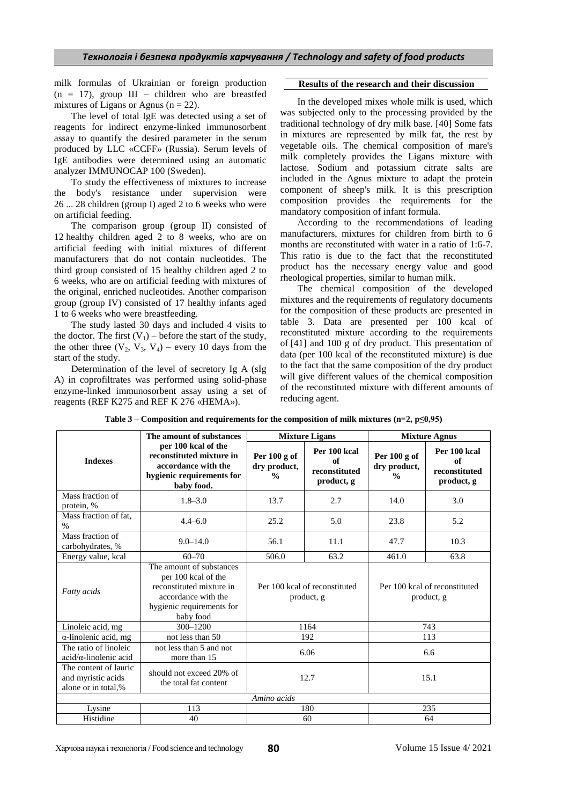milk formulas of Ukrainian or foreign production  $(n = 17)$ , group III – children who are breastfed mixtures of Ligans or Agnus ( $n = 22$ ).

The level of total IgE was detected using a set of reagents for indirect enzyme-linked immunosorbent assay to quantify the desired parameter in the serum produced by LLC «CCFF» (Russia). Serum levels of IgE antibodies were determined using an automatic analyzer IMMUNOCAP 100 (Sweden).

To study the effectiveness of mixtures to increase the body's resistance under supervision were 26 ... 28 children (group I) aged 2 to 6 weeks who were on artificial feeding.

The comparison group (group II) consisted of 12 healthy children aged 2 to 8 weeks, who are on artificial feeding with initial mixtures of different manufacturers that do not contain nucleotides. The third group consisted of 15 healthy children aged 2 to 6 weeks, who are on artificial feeding with mixtures of the original, enriched nucleotides. Another comparison group (group IV) consisted of 17 healthy infants aged 1 to 6 weeks who were breastfeeding.

The study lasted 30 days and included 4 visits to the doctor. The first  $(V_1)$  – before the start of the study, the other three  $(V_2, V_3, V_4)$  – every 10 days from the start of the study.

Determination of the level of secretory Ig A (sIg A) in coprofiltrates was performed using solid-phase enzyme-linked immunosorbent assay using a set of reagents (REF K275 and REF K 276 «HEMA»).

### **Results of the research and their discussion**

In the developed mixes whole milk is used, which was subjected only to the processing provided by the traditional technology of dry milk base. [40] Some fats in mixtures are represented by milk fat, the rest by vegetable oils. The chemical composition of mare's milk completely provides the Ligans mixture with lactose. Sodium and potassium citrate salts are included in the Agnus mixture to adapt the protein component of sheep's milk. It is this prescription composition provides the requirements for the mandatory composition of infant formula.

According to the recommendations of leading manufacturers, mixtures for children from birth to 6 months are reconstituted with water in a ratio of 1:6-7. This ratio is due to the fact that the reconstituted product has the necessary energy value and good rheological properties, similar to human milk.

The chemical composition of the developed mixtures and the requirements of regulatory documents for the composition of these products are presented in table 3. Data are presented per 100 kcal of reconstituted mixture according to the requirements of [41] and 100 g of dry product. This presentation of data (per 100 kcal of the reconstituted mixture) is due to the fact that the same composition of the dry product will give different values of the chemical composition of the reconstituted mixture with different amounts of reducing agent.

|                                                                    | The amount of substances                                                                                                                     |                                                 | <b>Mixture Ligans</b>                             |                                                 | <b>Mixture Agnus</b>                              |  |
|--------------------------------------------------------------------|----------------------------------------------------------------------------------------------------------------------------------------------|-------------------------------------------------|---------------------------------------------------|-------------------------------------------------|---------------------------------------------------|--|
| <b>Indexes</b>                                                     | per 100 kcal of the<br>reconstituted mixture in<br>accordance with the<br>hygienic requirements for<br>baby food.                            | Per $100 g$ of<br>dry product,<br>$\frac{0}{0}$ | Per 100 kcal<br>of<br>reconstituted<br>product, g | Per $100 g$ of<br>dry product,<br>$\frac{0}{0}$ | Per 100 kcal<br>of<br>reconstituted<br>product, g |  |
| Mass fraction of<br>protein, %                                     | $1.8 - 3.0$                                                                                                                                  | 13.7                                            | 2.7                                               | 14.0                                            | 3.0                                               |  |
| Mass fraction of fat,<br>$\%$                                      | $4.4 - 6.0$                                                                                                                                  | 25.2                                            | 5.0                                               | 23.8                                            | 5.2                                               |  |
| Mass fraction of<br>carbohydrates, %                               | $9.0 - 14.0$                                                                                                                                 | 56.1                                            | 11.1                                              | 47.7                                            | 10.3                                              |  |
| Energy value, kcal                                                 | $60 - 70$                                                                                                                                    | 506.0                                           | 63.2                                              | 461.0                                           | 63.8                                              |  |
| Fatty acids                                                        | The amount of substances<br>per 100 kcal of the<br>reconstituted mixture in<br>accordance with the<br>hygienic requirements for<br>baby food |                                                 | Per 100 kcal of reconstituted<br>product, g       |                                                 | Per 100 kcal of reconstituted<br>product, g       |  |
| Linoleic acid, mg                                                  | 300-1200                                                                                                                                     |                                                 | 1164                                              |                                                 | 743                                               |  |
| $\alpha$ -linolenic acid, mg                                       | not less than 50                                                                                                                             |                                                 | 192                                               |                                                 | 113                                               |  |
| The ratio of linoleic<br>$acid/\alpha$ -linolenic acid             | not less than 5 and not<br>more than 15                                                                                                      |                                                 | 6.06                                              |                                                 | 6.6                                               |  |
| The content of lauric<br>and myristic acids<br>alone or in total,% | should not exceed 20% of<br>the total fat content                                                                                            |                                                 | 12.7                                              | 15.1                                            |                                                   |  |
|                                                                    |                                                                                                                                              | Amino acids                                     |                                                   |                                                 |                                                   |  |
| Lysine                                                             | 113                                                                                                                                          |                                                 | 180                                               |                                                 | 235                                               |  |
| Histidine                                                          | 40                                                                                                                                           |                                                 | 60                                                |                                                 | 64                                                |  |

**Table 3 – Composition and requirements for the composition of milk mixtures (n=2, p≤0,95)**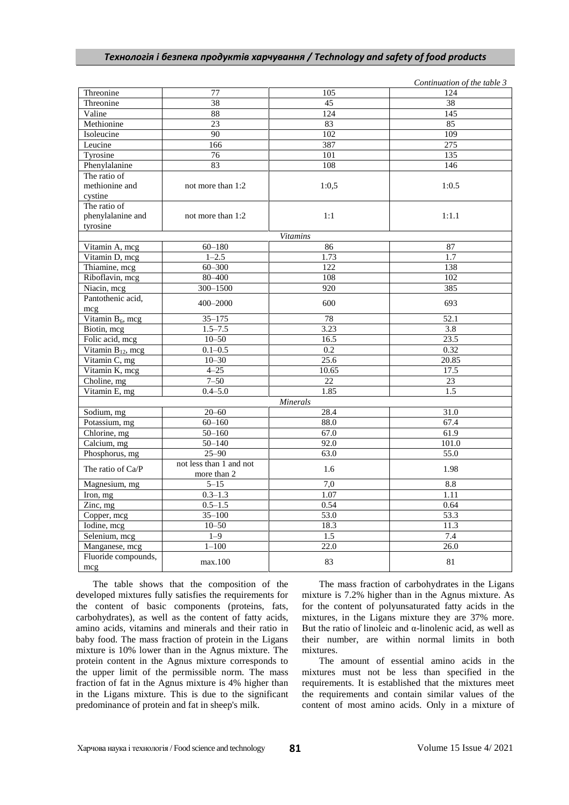|                                       |                         |                   | Continuation of the table 3 |
|---------------------------------------|-------------------------|-------------------|-----------------------------|
| Threonine                             | 77                      | 105               | 124                         |
| Threonine                             | 38                      | 45                | 38                          |
| Valine                                | 88                      | 124               | 145                         |
| Methionine                            | 23                      | 83                | 85                          |
| Isoleucine                            | 90                      | 102               | 109                         |
| Leucine                               | 166                     | 387               | 275                         |
| Tyrosine                              | 76                      | 101               | 135                         |
| Phenylalanine                         | 83                      | 108               | 146                         |
| The ratio of                          |                         |                   |                             |
| methionine and                        | not more than 1:2       | 1:0,5             | 1:0.5                       |
| cystine                               |                         |                   |                             |
| The ratio of                          |                         |                   |                             |
| phenylalanine and                     | not more than 1:2       | 1:1               | 1:1.1                       |
| tyrosine                              |                         |                   |                             |
|                                       |                         | <b>Vitamins</b>   |                             |
| Vitamin A, mcg                        | $60 - 180$              | 86                | 87                          |
| Vitamin D, mcg                        | $1 - 2.5$               | 1.73              | 1.7                         |
| Thiamine, mcg                         | $60 - 300$              | 122               | 138                         |
| Riboflavin, mcg                       | $80 - 400$              | 108               | 102                         |
| Niacin, mcg                           | 300-1500                | 920               | 385                         |
| Pantothenic acid,                     |                         |                   |                             |
| mcg                                   | 400-2000                | 600               | 693                         |
| Vitamin $B_6$ , mcg                   | $35 - 175$              | 78                | 52.1                        |
| Biotin, mcg                           | $1.5 - 7.5$             | 3.23              | 3.8                         |
| Folic acid, mcg                       | $10 - 50$               | 16.5              | 23.5                        |
| Vitamin $B_{12}$ , mcg                | $0.1 - 0.5$             | 0.2               | 0.32                        |
| Vitamin C, mg                         | $10 - 30$               | 25.6              | 20.85                       |
| Vitamin K, mcg                        | $4 - 25$                | 10.65             | 17.5                        |
| Choline, mg                           | $7 - 50$                | 22                | 23                          |
| Vitamin E, mg                         | $0.4 - 5.0$             | 1.85              | 1.5                         |
|                                       |                         | <b>Minerals</b>   |                             |
| Sodium, mg                            | $20 - 60$               | 28.4              | 31.0                        |
| Potassium, mg                         | $60 - 160$              | 88.0              | 67.4                        |
| Chlorine, mg                          | $50 - 160$              | 67.0              | 61.9                        |
| Calcium, mg                           | $50 - 140$              | 92.0              | 101.0                       |
| Phosphorus, mg                        | $25 - 90$               | 63.0              | 55.0                        |
|                                       | not less than 1 and not |                   |                             |
| The ratio of Ca/P                     | more than 2             | 1.6               | 1.98                        |
| Magnesium, mg                         | $5 - 15$                | 7,0               | 8.8                         |
| Iron, mg                              | $0.3 - 1.3$             | 1.07              | 1.11                        |
| Zinc, mg                              | $0.5 - 1.5$             | 0.54              | 0.64                        |
| Copper, mcg                           | $35 - 100$              | 53.0              | 53.3                        |
| Iodine, mcg                           | $10 - 50$               | 18.3              | 11.3                        |
| Selenium, mcg                         | $1 - 9$                 | 1.5               | 7.4                         |
|                                       | $1 - 100$               | $\overline{22.0}$ | 26.0                        |
| Manganese, mcg<br>Fluoride compounds, |                         |                   |                             |
|                                       | max.100                 | 83                | 81                          |
| mcg                                   |                         |                   |                             |

The table shows that the composition of the developed mixtures fully satisfies the requirements for the content of basic components (proteins, fats, carbohydrates), as well as the content of fatty acids, amino acids, vitamins and minerals and their ratio in baby food. The mass fraction of protein in the Ligans mixture is 10% lower than in the Agnus mixture. The protein content in the Agnus mixture corresponds to the upper limit of the permissible norm. The mass fraction of fat in the Agnus mixture is 4% higher than in the Ligans mixture. This is due to the significant predominance of protein and fat in sheep's milk.

The mass fraction of carbohydrates in the Ligans mixture is 7.2% higher than in the Agnus mixture. As for the content of polyunsaturated fatty acids in the mixtures, in the Ligans mixture they are 37% more. But the ratio of linoleic and  $\alpha$ -linolenic acid, as well as their number, are within normal limits in both mixtures.

The amount of essential amino acids in the mixtures must not be less than specified in the requirements. It is established that the mixtures meet the requirements and contain similar values of the content of most amino acids. Only in a mixture of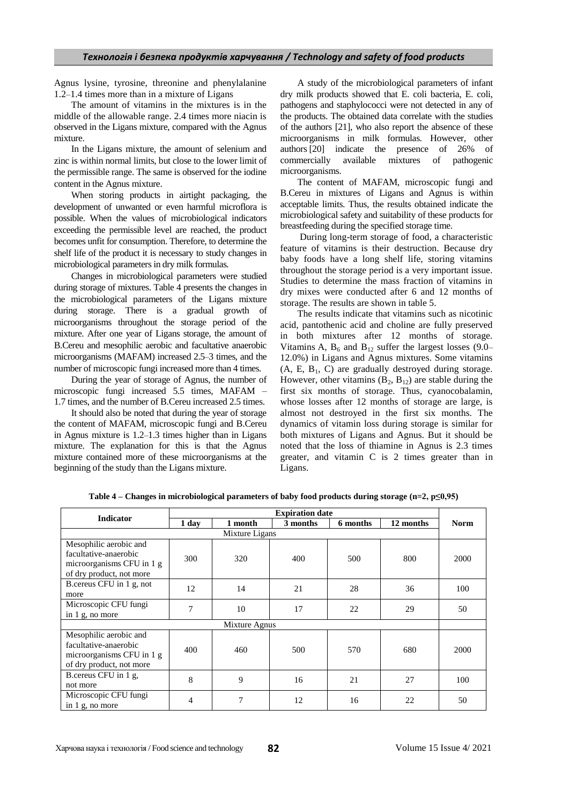Agnus lysine, tyrosine, threonine and phenylalanine 1.2–1.4 times more than in a mixture of Ligans

The amount of vitamins in the mixtures is in the middle of the allowable range. 2.4 times more niacin is observed in the Ligans mixture, compared with the Agnus mixture.

In the Ligans mixture, the amount of selenium and zinc is within normal limits, but close to the lower limit of the permissible range. The same is observed for the iodine content in the Agnus mixture.

When storing products in airtight packaging, the development of unwanted or even harmful microflora is possible. When the values of microbiological indicators exceeding the permissible level are reached, the product becomes unfit for consumption. Therefore, to determine the shelf life of the product it is necessary to study changes in microbiological parameters in dry milk formulas.

Changes in microbiological parameters were studied during storage of mixtures. Table 4 presents the changes in the microbiological parameters of the Ligans mixture during storage. There is a gradual growth of microorganisms throughout the storage period of the mixture. After one year of Ligans storage, the amount of B.Cereu and mesophilic aerobic and facultative anaerobic microorganisms (MAFAM) increased 2.5–3 times, and the number of microscopic fungi increased more than 4 times.

During the year of storage of Agnus, the number of microscopic fungi increased 5.5 times, MAFAM – 1.7 times, and the number of B.Cereu increased 2.5 times.

It should also be noted that during the year of storage the content of MAFAM, microscopic fungi and B.Cereu in Agnus mixture is 1.2–1.3 times higher than in Ligans mixture. The explanation for this is that the Agnus mixture contained more of these microorganisms at the beginning of the study than the Ligans mixture.

A study of the microbiological parameters of infant dry milk products showed that E. coli bacteria, E. coli, pathogens and staphylococci were not detected in any of the products. The obtained data correlate with the studies of the authors [21], who also report the absence of these microorganisms in milk formulas. However, other authors [20] indicate the presence of 26% of commercially available mixtures of pathogenic microorganisms.

The content of MAFAM, microscopic fungi and B.Cereu in mixtures of Ligans and Agnus is within acceptable limits. Thus, the results obtained indicate the microbiological safety and suitability of these products for breastfeeding during the specified storage time.

During long-term storage of food, a characteristic feature of vitamins is their destruction. Because dry baby foods have a long shelf life, storing vitamins throughout the storage period is a very important issue. Studies to determine the mass fraction of vitamins in dry mixes were conducted after 6 and 12 months of storage. The results are shown in table 5.

The results indicate that vitamins such as nicotinic acid, pantothenic acid and choline are fully preserved in both mixtures after 12 months of storage. Vitamins A,  $B_6$  and  $B_{12}$  suffer the largest losses (9.0– 12.0%) in Ligans and Agnus mixtures. Some vitamins  $(A, E, B<sub>1</sub>, C)$  are gradually destroyed during storage. However, other vitamins  $(B_2, B_{12})$  are stable during the first six months of storage. Thus, cyanocobalamin, whose losses after 12 months of storage are large, is almost not destroyed in the first six months. The dynamics of vitamin loss during storage is similar for both mixtures of Ligans and Agnus. But it should be noted that the loss of thiamine in Agnus is 2.3 times greater, and vitamin C is 2 times greater than in Ligans.

| <b>Indicator</b>                                                                                         | <b>Expiration date</b> |                |          |           |             |      |  |  |  |
|----------------------------------------------------------------------------------------------------------|------------------------|----------------|----------|-----------|-------------|------|--|--|--|
| 1 day<br>1 month                                                                                         |                        | 3 months       | 6 months | 12 months | <b>Norm</b> |      |  |  |  |
|                                                                                                          |                        | Mixture Ligans |          |           |             |      |  |  |  |
| Mesophilic aerobic and<br>facultative-anaerobic<br>microorganisms CFU in 1 g<br>of dry product, not more | 300                    | 320            | 400      | 500       | 800         | 2000 |  |  |  |
| B cereus CFU in 1 g, not<br>more                                                                         | 12                     | 14             | 21       | 28        | 36          | 100  |  |  |  |
| Microscopic CFU fungi<br>in $1$ g, no more                                                               | 7                      | 10             | 17       | 22        | 29          | 50   |  |  |  |
|                                                                                                          |                        | Mixture Agnus  |          |           |             |      |  |  |  |
| Mesophilic aerobic and<br>facultative-anaerobic<br>microorganisms CFU in 1 g<br>of dry product, not more | 400                    | 460            | 500      | 570       | 680         | 2000 |  |  |  |
| B cereus CFU in 1 g,<br>not more                                                                         | 8                      | 9              | 16       | 21        | 27          | 100  |  |  |  |
| Microscopic CFU fungi<br>in $1$ g, no more                                                               | 4                      | $\tau$         | 12       | 16        | 22          | 50   |  |  |  |

**Table 4** – **Changes in microbiological parameters of baby food products during storage (n=2,**  $p \le 0.95$ **)**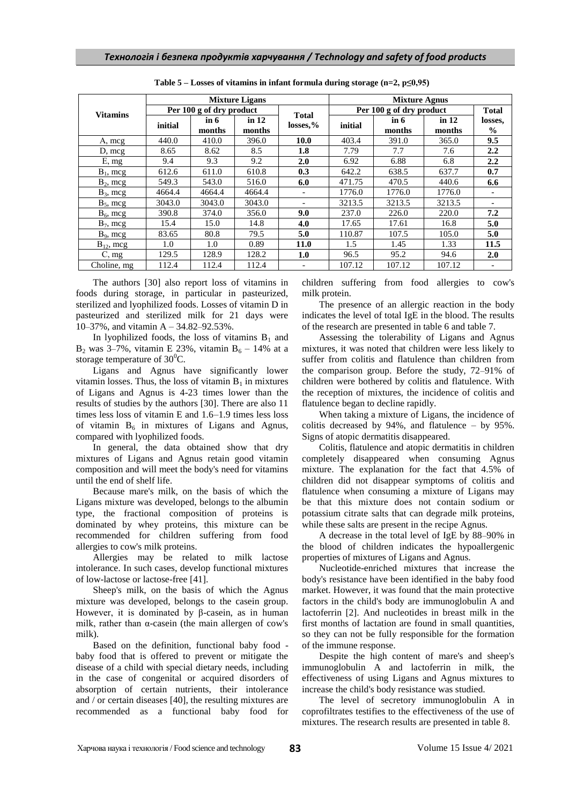|                 |         |                          | <b>Mixture Ligans</b>            |                          |                          | <b>Mixture Agnus</b> |                 |                          |
|-----------------|---------|--------------------------|----------------------------------|--------------------------|--------------------------|----------------------|-----------------|--------------------------|
| <b>Vitamins</b> |         | Per 100 g of dry product |                                  | <b>Total</b>             | Per 100 g of dry product | <b>Total</b>         |                 |                          |
|                 | initial | in 6<br>months           | $\operatorname{in} 12$<br>months | $losses, \%$             | initial                  | $\sin 6$<br>months   | in 12<br>months | losses,<br>$\frac{0}{0}$ |
| A, mcg          | 440.0   | 410.0                    | 396.0                            | 10.0                     | 403.4                    | 391.0                | 365.0           | 9.5                      |
| $D, \text{mcg}$ | 8.65    | 8.62                     | 8.5                              | 1.8                      | 7.79                     | 7.7                  | 7.6             | 2.2                      |
| E, mg           | 9.4     | 9.3                      | 9.2                              | 2.0                      | 6.92                     | 6.88                 | 6.8             | 2.2                      |
| $B_1$ , mcg     | 612.6   | 611.0                    | 610.8                            | 0.3                      | 642.2                    | 638.5                | 637.7           | 0.7                      |
| $B_2$ , mcg     | 549.3   | 543.0                    | 516.0                            | 6.0                      | 471.75                   | 470.5                | 440.6           | 6.6                      |
| $B_3$ , mcg     | 4664.4  | 4664.4                   | 4664.4                           | $\overline{\phantom{a}}$ | 1776.0                   | 1776.0               | 1776.0          |                          |
| $B_5$ , mcg     | 3043.0  | 3043.0                   | 3043.0                           | $\overline{\phantom{0}}$ | 3213.5                   | 3213.5               | 3213.5          | $\overline{\phantom{0}}$ |
| $B_6$ , mcg     | 390.8   | 374.0                    | 356.0                            | 9.0                      | 237.0                    | 226.0                | 220.0           | 7.2                      |
| $B_7$ , mcg     | 15.4    | 15.0                     | 14.8                             | 4.0                      | 17.65                    | 17.61                | 16.8            | 5.0                      |
| $B_9$ , mcg     | 83.65   | 80.8                     | 79.5                             | 5.0                      | 110.87                   | 107.5                | 105.0           | 5.0                      |
| $B_{12}$ , mcg  | 1.0     | 1.0                      | 0.89                             | 11.0                     | 1.5                      | 1.45                 | 1.33            | 11.5                     |
| C, mg           | 129.5   | 128.9                    | 128.2                            | 1.0                      | 96.5                     | 95.2                 | 94.6            | 2.0                      |
| Choline, mg     | 112.4   | 112.4                    | 112.4                            |                          | 107.12                   | 107.12               | 107.12          | $\overline{\phantom{a}}$ |

**Table 5 – Losses of vitamins in infant formula during storage (n=2, p≤0,95)**

The authors [30] also report loss of vitamins in foods during storage, in particular in pasteurized, sterilized and lyophilized foods. Losses of vitamin D in pasteurized and sterilized milk for 21 days were 10–37%, and vitamin A – 34.82–92.53%.

In lyophilized foods, the loss of vitamins  $B_1$  and  $B_2$  was 3–7%, vitamin E 23%, vitamin  $B_6 - 14$ % at a storage temperature of  $30^0$ C.

Ligans and Agnus have significantly lower vitamin losses. Thus, the loss of vitamin  $B_1$  in mixtures of Ligans and Agnus is 4-23 times lower than the results of studies by the authors [30]. There are also 11 times less loss of vitamin E and 1.6–1.9 times less loss of vitamin  $B_6$  in mixtures of Ligans and Agnus, compared with lyophilized foods.

In general, the data obtained show that dry mixtures of Ligans and Agnus retain good vitamin composition and will meet the body's need for vitamins until the end of shelf life.

Because mare's milk, on the basis of which the Ligans mixture was developed, belongs to the albumin type, the fractional composition of proteins is dominated by whey proteins, this mixture can be recommended for children suffering from food allergies to cow's milk proteins.

Allergies may be related to milk lactose intolerance. In such cases, develop functional mixtures of low-lactose or lactose-free [41].

Sheep's milk, on the basis of which the Agnus mixture was developed, belongs to the casein group. However, it is dominated by β-casein, as in human milk, rather than  $\alpha$ -casein (the main allergen of cow's milk).

Based on the definition, functional baby food baby food that is offered to prevent or mitigate the disease of a child with special dietary needs, including in the case of congenital or acquired disorders of absorption of certain nutrients, their intolerance and / or certain diseases [40], the resulting mixtures are recommended as a functional baby food for

children suffering from food allergies to cow's milk protein.

The presence of an allergic reaction in the body indicates the level of total IgE in the blood. The results of the research are presented in table 6 and table 7.

Assessing the tolerability of Ligans and Agnus mixtures, it was noted that children were less likely to suffer from colitis and flatulence than children from the comparison group. Before the study, 72–91% of children were bothered by colitis and flatulence. With the reception of mixtures, the incidence of colitis and flatulence began to decline rapidly.

When taking a mixture of Ligans, the incidence of colitis decreased by 94%, and flatulence – by 95%. Signs of atopic dermatitis disappeared.

Colitis, flatulence and atopic dermatitis in children completely disappeared when consuming Agnus mixture. The explanation for the fact that 4.5% of children did not disappear symptoms of colitis and flatulence when consuming a mixture of Ligans may be that this mixture does not contain sodium or potassium citrate salts that can degrade milk proteins, while these salts are present in the recipe Agnus.

A decrease in the total level of IgE by 88–90% in the blood of children indicates the hypoallergenic properties of mixtures of Ligans and Agnus.

Nucleotide-enriched mixtures that increase the body's resistance have been identified in the baby food market. However, it was found that the main protective factors in the child's body are immunoglobulin A and lactoferrin [2]. And nucleotides in breast milk in the first months of lactation are found in small quantities, so they can not be fully responsible for the formation of the immune response.

Despite the high content of mare's and sheep's immunoglobulin A and lactoferrin in milk, the effectiveness of using Ligans and Agnus mixtures to increase the child's body resistance was studied.

The level of secretory immunoglobulin A in coprofiltrates testifies to the effectiveness of the use of mixtures. The research results are presented in table 8.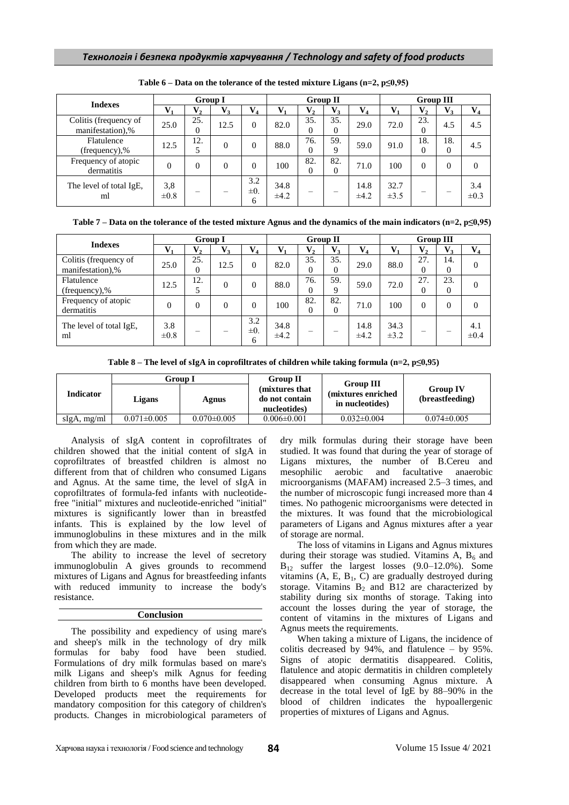| <b>Indexes</b>                            |                  |                       | <b>Group I</b> |                      | <b>Group II</b>   |                 |                       |                   | <b>Group III</b>  |                 |                 |                  |
|-------------------------------------------|------------------|-----------------------|----------------|----------------------|-------------------|-----------------|-----------------------|-------------------|-------------------|-----------------|-----------------|------------------|
|                                           | $V_1$            | $V_2$                 | $V_3$          | $\mathbf{V}_4$       | T7                | $\mathbf{V}_2$  | $V_3$                 | $V_4$             | $V_{1}$           | $V_2$           | $V_3$           | $V_4$            |
| Colitis (frequency of<br>manifestation),% | 25.0             | 25.<br>$\overline{0}$ | 12.5           | $\theta$             | 82.0              | 35.<br>$\Omega$ | 35.<br>$\overline{0}$ | 29.0              | 72.0              | 23.<br>$\theta$ | 4.5             | 4.5              |
| Flatulence<br>(frequency),%               | 12.5             | 12.                   | $\theta$       | 0                    | 88.0              | 76.<br>$\Omega$ | 59.<br>9              | 59.0              | 91.0              | 18.<br>$\theta$ | 18.<br>$\theta$ | 4.5              |
| Frequency of atopic<br>dermatitis         | $\Omega$         | $\Omega$              | $\Omega$       | 0                    | 100               | 82.<br>$\Omega$ | 82.<br>0              | 71.0              | 100               | $\Omega$        | $\theta$        | 0                |
| The level of total IgE,<br>ml             | 3,8<br>$\pm 0.8$ |                       |                | 3.2<br>$\pm 0.$<br>6 | 34.8<br>$\pm 4.2$ |                 |                       | 14.8<br>$\pm 4.2$ | 32.7<br>$\pm 3.5$ |                 |                 | 3.4<br>$\pm 0.3$ |

|  |  | Table $6$ – Data on the tolerance of the tested mixture Ligans (n=2, p $\leq 0.95$ ) |  |  |  |  |  |  |
|--|--|--------------------------------------------------------------------------------------|--|--|--|--|--|--|
|--|--|--------------------------------------------------------------------------------------|--|--|--|--|--|--|

|  | Table 7 – Data on the tolerance of the tested mixture Agnus and the dynamics of the main indicators (n=2, p $\leq 0.95$ ) |
|--|---------------------------------------------------------------------------------------------------------------------------|
|--|---------------------------------------------------------------------------------------------------------------------------|

| <b>Indexes</b>                            |                  | <b>Group I</b>            |          |                      |              | <b>Group II</b> |                 |                   |                   | <b>Group III</b> |                 |                  |
|-------------------------------------------|------------------|---------------------------|----------|----------------------|--------------|-----------------|-----------------|-------------------|-------------------|------------------|-----------------|------------------|
|                                           | $V_1$            | $\mathbf{V}_{\mathbf{2}}$ | $V_3$    | $\mathbf{V}_4$       |              | $\mathbf{V}_2$  | $V_3$           | $V_4$             | $V_{1}$           | $V_{2}$          | $V_3$           | $\mathbf{V}_4$   |
| Colitis (frequency of<br>manifestation),% | 25.0             | 25.<br>$\theta$           | 12.5     | 0                    | 82.0         | 35.<br>$\Omega$ | 35.<br>$\Omega$ | 29.0              | 88.0              | 27.<br>0         | 14.<br>$\Omega$ | $\Omega$         |
| Flatulence<br>(frequency),%               | 12.5             | 12.                       | $\Omega$ | 0                    | 88.0         | 76.<br>$\Omega$ | 59.<br>9        | 59.0              | 72.0              | 27.<br>0         | 23.<br>$\Omega$ | $\Omega$         |
| Frequency of atopic<br>dermatitis         | $\theta$         | $\theta$                  | $\theta$ | 0                    | 100          | 82.<br>$\Omega$ | 82.<br>0        | 71.0              | 100               | $\Omega$         | $\Omega$        | 0                |
| The level of total IgE.<br>ml             | 3.8<br>$\pm 0.8$ |                           |          | 3.2<br>$\pm 0.$<br>6 | 34.8<br>±4.2 |                 |                 | 14.8<br>$\pm 4.2$ | 34.3<br>$\pm 3.2$ |                  |                 | 4.1<br>$\pm 0.4$ |

| <b>Indicator</b> | Group I           |                   | <b>Group II</b>                                   | <b>Group III</b>                       |                                    |
|------------------|-------------------|-------------------|---------------------------------------------------|----------------------------------------|------------------------------------|
|                  | Ligans            | Agnus             | (mixtures that)<br>do not contain<br>nucleotides) | (mixtures enriched)<br>in nucleotides) | <b>Group IV</b><br>(breastfeeding) |
| $slgA$ , mg/ml   | $0.071 \pm 0.005$ | $0.070 \pm 0.005$ | $0.006 \pm 0.001$                                 | $0.032 \pm 0.004$                      | $0.074 \pm 0.005$                  |

Analysis of sIgA content in coprofiltrates of children showed that the initial content of sIgA in coprofiltrates of breastfed children is almost no different from that of children who consumed Ligans and Agnus. At the same time, the level of sIgA in coprofiltrates of formula-fed infants with nucleotidefree "initial" mixtures and nucleotide-enriched "initial" mixtures is significantly lower than in breastfed infants. This is explained by the low level of immunoglobulins in these mixtures and in the milk from which they are made.

The ability to increase the level of secretory immunoglobulin A gives grounds to recommend mixtures of Ligans and Agnus for breastfeeding infants with reduced immunity to increase the body's resistance.

### **Conclusion**

The possibility and expediency of using mare's and sheep's milk in the technology of dry milk formulas for baby food have been studied. Formulations of dry milk formulas based on mare's milk Ligans and sheep's milk Agnus for feeding children from birth to 6 months have been developed. Developed products meet the requirements for mandatory composition for this category of children's products. Changes in microbiological parameters of dry milk formulas during their storage have been studied. It was found that during the year of storage of Ligans mixtures, the number of B.Cereu and mesophilic aerobic and facultative anaerobic microorganisms (MAFAM) increased 2.5–3 times, and the number of microscopic fungi increased more than 4 times. No pathogenic microorganisms were detected in the mixtures. It was found that the microbiological parameters of Ligans and Agnus mixtures after a year of storage are normal.

The loss of vitamins in Ligans and Agnus mixtures during their storage was studied. Vitamins A,  $B_6$  and  $B_{12}$  suffer the largest losses (9.0–12.0%). Some vitamins  $(A, E, B<sub>1</sub>, C)$  are gradually destroyed during storage. Vitamins  $B_2$  and B12 are characterized by stability during six months of storage. Taking into account the losses during the year of storage, the content of vitamins in the mixtures of Ligans and Agnus meets the requirements.

When taking a mixture of Ligans, the incidence of colitis decreased by 94%, and flatulence – by 95%. Signs of atopic dermatitis disappeared. Colitis, flatulence and atopic dermatitis in children completely disappeared when consuming Agnus mixture. A decrease in the total level of IgE by 88–90% in the blood of children indicates the hypoallergenic properties of mixtures of Ligans and Agnus.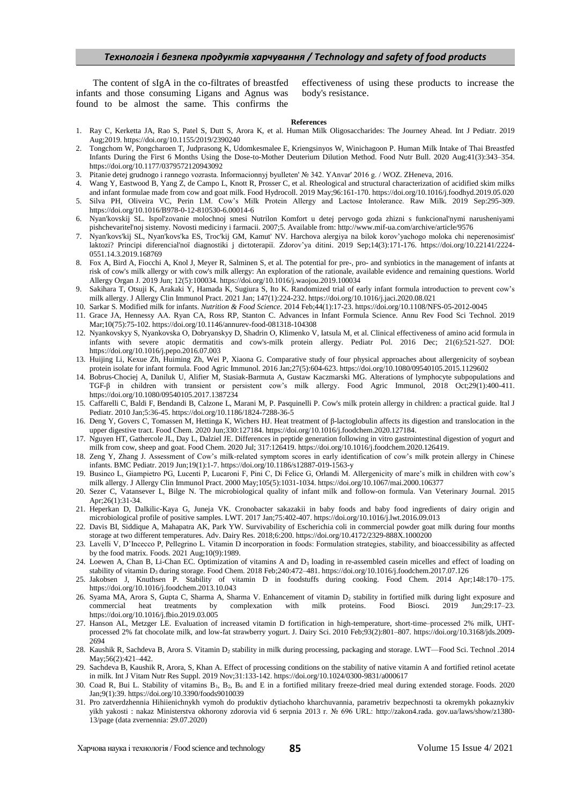The content of sIgA in the co-filtrates of breastfed infants and those consuming Ligans and Agnus was found to be almost the same. This confirms the effectiveness of using these products to increase the body's resistance.

#### **References**

- 1. Ray С, Kerketta JA, Rao S, Patel S, Dutt S, Arora K, et al. Human Milk Oligosaccharides: The Journey Ahead. Int J Pediatr. 2019 Aug;2019. <https://doi.org/10.1155/2019/2390240>
- 2. Tongchom W, Pongcharoen T, Judprasong K, Udomkesmalee E, Kriengsinyos W, Winichagoon P. Human Milk Intake of Thai Breastfed Infants During the First 6 Months Using the Dose-to-Mother Deuterium Dilution Method. Food Nutr Bull. 2020 Aug;41(3):343–354. <https://doi.org/10.1177/0379572120943092>
- 3. Pitanie detej grudnogo i rannego vozrasta. Informacionnyj byulleten' № 342. YAnvar' 2016 g. / WOZ. ZHeneva, 2016.
- 4. Wang Y, Eastwood B, Yang Z, de Campo L, Knott R, Prosser C, et al. Rheological and structural characterization of acidified skim milks and infant formulae made from cow and goat milk. Food Hydrocoll. 2019 May;96:161-170[. https://doi.org/10.1016/j.foodhyd.2019.05.020](https://doi.org/10.1016/j.foodhyd.2019.05.020)
- 5. Silva PH, Oliveira VC, Perin LM. Cow's Milk Protein Allergy and Lactose Intolerance. Raw Milk. 2019 Sep:295-309. https://doi.org[/10.1016/B978-0-12-810530-6.00014-6](https://www.researchgate.net/deref/http%3A%2F%2Fdx.doi.org%2F10.1016%2FB978-0-12-810530-6.00014-6)
- 6. Nyan'kovskij SL. Ispol'zovanie molochnoj smesi Nutrilon Komfort u detej pervogo goda zhizni s funkcional'nymi narusheniyami pishchevaritel'noj sistemy. Novosti mediciny i farmacii. 2007;5. Available from[: http://www.mif-ua.com/archive/article/9576](http://www.mif-ua.com/archive/article/9576)
- 7. Nyan'kovs'kij SL, Nyan'kovs'ka ES, Troc'kij GM, Kamut' NV. Harchova alergіya na bіlok korov'yachogo moloka chi neperenosimіst' laktozi? Principi diferencіal'noї dіagnostiki j dієtoterapії. Zdorov'ya ditini. 2019 Sep;14(3):171-176. https://doi.org/10.22141/2224- 0551.14.3.2019.168769
- 8. Fox A, Bird A, Fiocchi A, Knol J, Meyer R, Salminen S, et al. The potential for pre-, pro- and synbiotics in the management of infants at risk of cow's milk allergy or with cow's milk allergy: An exploration of the rationale, available evidence and remaining questions. World Allergy Organ J. 2019 Jun; 12(5):100034. https://doi.or[g/10.1016/j.waojou.2019.100034](https://dx.doi.org/10.1016%2Fj.waojou.2019.100034)
- 9. Sakihara T, Otsuji K, Arakaki Y, Hamada K, Sugiura S, Ito K. Randomized trial of early infant formula introduction to prevent cow's milk allergy. J Allergy Clin Immunol Pract. 2021 Jan; 147(1):224-232[. https://doi.org/10.1016/j.jaci.2020.08.021](https://doi.org/10.1016/j.jaci.2020.08.021)
- 10. [Sarkar S.](https://www.emerald.com/insight/search?q=S.%20Sarkar) Modified milk for infants. *[Nutrition & Food Science.](https://www.emerald.com/insight/publication/issn/0034-6659)* 2014 Feb;44(1):17-23.<https://doi.org/10.1108/NFS-05-2012-0045>
- 11. Grace JА, Hennessy АА. Ryan CА, Ross RP, Stanton C. Advances in Infant Formula Science. Annu Rev Food Sci Technol. 2019 Mar;10(75):75-102[. https://doi.org/10.1146/annurev-food-081318-104308](https://doi.org/10.1146/annurev-food-081318-104308)
- 12. Nyankovskyy S, Nyankovska О, Dobryanskyy D, Shadrin О, Klimenko V, Iatsula М, et al. Clinical effectiveness of amino acid formula in infants with severe atopic dermatitis and cow's-milk protein allergy. Pediatr Pol. 2016 Dec; 21(6):521-527. DOI: <https://doi.org/10.1016/j.pepo.2016.07.003>
- 13. Huijing Li, Kexue Zh, Huiming Zh, Wei P, Xiaona G. Comparative study of four physical approaches about allergenicity of soybean protein isolate for infant formula. Food Agric Immunol. 2016 Jan;27(5):604-623. https://doi.org[/10.1080/09540105.2015.1129602](https://doi.org/10.1080/09540105.2015.1129602)
- 14. Bobrus-Chociej А, Daniluk U, Alifier М, Stasiak-Barmuta А, Gustaw Kaczmarski МG. Alterations of lymphocyte subpopulations and TGF-β in children with transient or persistent cow's milk allergy. Food Agric Immunol, 2018 Oct;29(1):400-411. https://doi.org[/10.1080/09540105.2017.1387234](https://doi.org/10.1080/09540105.2017.1387234)
- 15. Caffarelli C, Baldi F, Bendandi B, Calzone L, Marani M, P. Pasquinelli P. Cow's milk protein allergy in children: a practical guide. Ital J Pediatr. 2010 Jan;5:36-45. https://doi.or[g/10.1186/1824-7288-36-5](https://dx.doi.org/10.1186%2F1824-7288-36-5)
- 16. Deng Y, Govers С, Tomassen М, Hettinga К, Wichers HJ. Heat treatment of β-lactoglobulin affects its digestion and translocation in the upper digestive tract. Food Chem. 2020 Jun;330:127184[. https://doi.org/10.1016/j.foodchem.2020.127184.](https://doi.org/10.1016/j.foodchem.2020.127184)
- 17. Nguyen HT, Gathercole JL, Day L, Dalziel JE. Differences in peptide generation following in vitro gastrointestinal digestion of yogurt and milk from cow, sheep and goat. Food Chem. 2020 Jul; 317:126419[. https://doi.org/10.1016/j.foodchem.2020.126419.](https://doi.org/10.1016/j.foodchem.2020.126419)
- 18. Zeng Y, Zhang J. Assessment of Cow's milk-related symptom scores in early identification of cow's milk protein allergy in Chinese infants. BMC Pediatr. 2019 Jun;19(1):1-7. https://doi.org/10.1186/s12887-019-1563-y
- 19. Businco L, Giampietro PG, Lucenti P, Lucaroni F, Pini C, Di Felice G, Orlandi M. Allergenicity of mare's milk in children with cow's milk allergy. J Allergy Clin Immunol Pract. 2000 May;105(5):1031-1034[. https://doi.org/10.1067/mai.2000.106377](https://doi.org/10.1067/mai.2000.106377)
- 20. Sezer C, Vatansever L, Bilge N. The microbiological quality of infant milk and follow-on formula. Van Veterinary Journal. 2015 Apr;26(1):31-34.
- 21. Heperkan D, Dalkilic-Kaya G, Juneja VK. Cronobacter sakazakii in baby foods and baby food ingredients of dairy origin and microbiological profile of positive samples. LWT. 2017 Jan;75:402-407. <https://doi.org/10.1016/j.lwt.2016.09.013>
- 22. Davis BI, Siddique A, Mahapatra AK, Park YW. Survivability of Escherichia coli in commercial powder goat milk during four months storage at two different temperatures. Adv. Dairy Res*.* 2018;6:200. https://doi.org/10.4172/2329-888X.1000200
- 23. Lavelli V, D'Incecco P, Pellegrino L. Vitamin D incorporation in foods: Formulation strategies, stability, and bioaccessibility as affected by the food matrix. Foods. 2021 Aug;10(9):1989.
- 24. Loewen A, Chan B, Li-Chan EC. Optimization of vitamins A and D<sub>3</sub> loading in re-assembled casein micelles and effect of loading on stability of vitamin D<sub>3</sub> during storage. Food Chem. 2018 Feb;240:472-481. https://doi.org/10.1016/j.foodchem.2017.07.126
- 25. Jakobsen J, Knuthsen P. Stability of vitamin D in foodstuffs during cooking. Food Chem*.* 2014 Apr;148:170–175. <https://doi.org/10.1016/j.foodchem.2013.10.043>
- 26. Syama MA, Arora S, Gupta C, Sharma A, Sharma V. Enhancement of vitamin  $D_2$  stability in fortified milk during light exposure and commercial heat treatments by complexation with milk proteins. Food Biosci. 2019 Jun;29:17–23. <https://doi.org/10.1016/j.fbio.2019.03.005>
- 27. Hanson AL, Metzger LE. Evaluation of increased vitamin D fortification in high-temperature, short-time–processed 2% milk, UHTprocessed 2% fat chocolate milk, and low-fat strawberry yogurt. J. Dairy Sci. 2010 Feb;93(2):801–807. [https://doi.org/10.3168/jds.2009-](https://doi.org/10.3168/jds.2009-2694) [2694](https://doi.org/10.3168/jds.2009-2694)
- 28. Kaushik R, Sachdeva B, Arora S. Vitamin D<sub>2</sub> stability in milk during processing, packaging and storage. LWT—Food Sci. Technol .2014 May;56(2):421–442.
- 29. Sachdeva B, Kaushik R, Arora, S, Khan A. Effect of processing conditions on the stability of native vitamin A and fortified retinol acetate in milk. Int J Vitam Nutr Res Suppl. 2019 Nov;31:133-142[. https://doi.org/10.1024/0300-9831/a000617](https://doi.org/10.1024/0300-9831/a000617)
- 30. Coad R, Bui L. Stability of vitamins B<sub>1</sub>, B<sub>2</sub>, B<sub>6</sub> and E in a fortified military freeze-dried meal during extended storage. Foods. 2020 Jan;9(1):39[. https://doi.org/10.3390/foods9010039](https://doi.org/10.3390/foods9010039)
- 31. Pro zatverdzhennia Hihiienichnykh vymoh do produktiv dytiachoho kharchuvannia, parametriv bezpechnosti ta okremykh pokaznykiv yikh yakosti : nakaz Ministerstva okhorony zdorovia vid 6 serpnia 2013 r. № 696 URL: [http://zakon4.rada.](http://zakon4.rada/) gov.ua/laws/show/z1380- 13/page (data zvernennia: 29.07.2020)